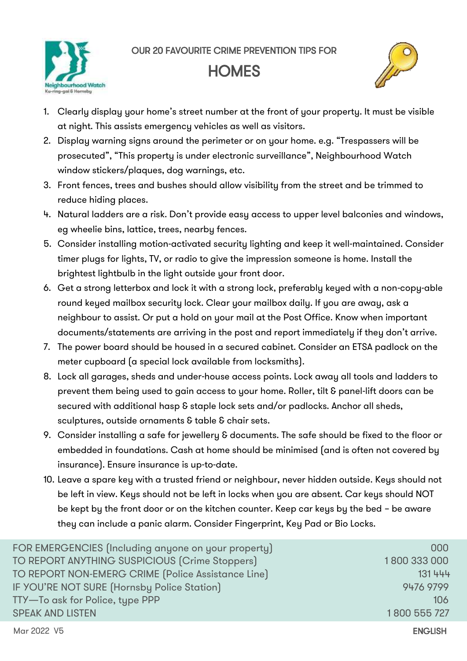bourhood Watch Ku-ring-gai & Hornsbu

OUR 20 FAVOURITE CRIME PREVENTION TIPS FOR





- 1. Clearly display your home's street number at the front of your property. It must be visible at night. This assists emergency vehicles as well as visitors.
- 2. Display warning signs around the perimeter or on your home. e.g. "Trespassers will be prosecuted", "This property is under electronic surveillance", Neighbourhood Watch window stickers/plaques, dog warnings, etc.
- 3. Front fences, trees and bushes should allow visibility from the street and be trimmed to reduce hiding places.
- 4. Natural ladders are a risk. Don't provide easy access to upper level balconies and windows, eg wheelie bins, lattice, trees, nearby fences.
- 5. Consider installing motion-activated security lighting and keep it well-maintained. Consider timer plugs for lights, TV, or radio to give the impression someone is home. Install the brightest lightbulb in the light outside your front door.
- 6. Get a strong letterbox and lock it with a strong lock, preferably keyed with a non-copy-able round keyed mailbox security lock. Clear your mailbox daily. If you are away, ask a neighbour to assist. Or put a hold on your mail at the Post Office. Know when important documents/statements are arriving in the post and report immediately if they don't arrive.
- 7. The power board should be housed in a secured cabinet. Consider an ETSA padlock on the meter cupboard (a special lock available from locksmiths).
- 8. Lock all garages, sheds and under-house access points. Lock away all tools and ladders to prevent them being used to gain access to your home. Roller, tilt & panel-lift doors can be secured with additional hasp & staple lock sets and/or padlocks. Anchor all sheds, sculptures, outside ornaments & table & chair sets.
- 9. Consider installing a safe for jewellery & documents. The safe should be fixed to the floor or embedded in foundations. Cash at home should be minimised (and is often not covered by insurance). Ensure insurance is up-to-date.
- 10. Leave a spare key with a trusted friend or neighbour, never hidden outside. Keys should not be left in view. Keys should not be left in locks when you are absent. Car keys should NOT be kept by the front door or on the kitchen counter. Keep car keys by the bed – be aware they can include a panic alarm. Consider Fingerprint, Key Pad or Bio Locks.

| FOR EMERGENCIES (Including anyone on your property) | 000          |
|-----------------------------------------------------|--------------|
| TO REPORT ANYTHING SUSPICIOUS (Crime Stoppers)      | 1800 333 000 |
| TO REPORT NON-EMERG CRIME (Police Assistance Line)  | 131 444      |
| IF YOU'RE NOT SURE (Hornsby Police Station)         | 9476 9799    |
| TTY—To ask for Police, type PPP                     | 106          |
| <b>SPEAK AND LISTEN</b>                             | 1800 555 727 |
|                                                     |              |